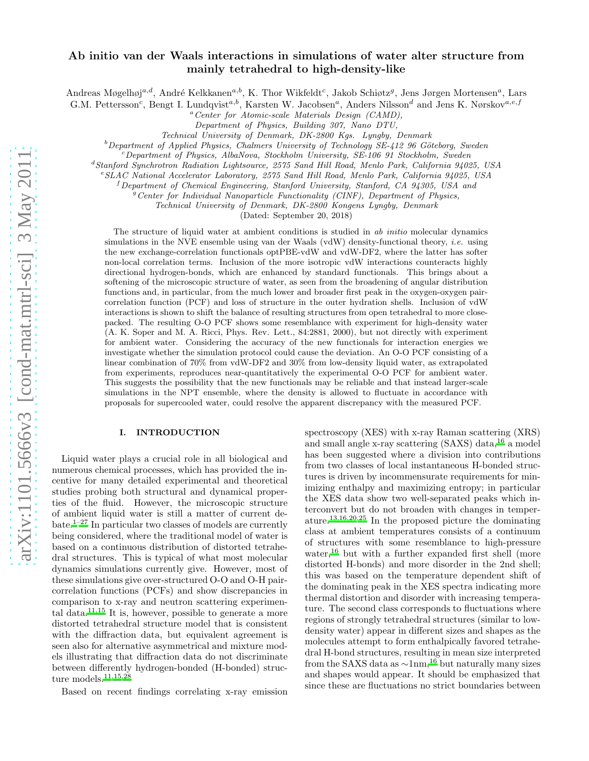# Ab initio van der Waals interactions in simulations of water alter structure from mainly tetrahedral to high-density-like

Andreas Møgelhøj<sup>a,d</sup>, André Kelkkanen<sup>a,b</sup>, K. Thor Wikfeldt<sup>c</sup>, Jakob Schiøtz<sup>g</sup>, Jens Jørgen Mortensen<sup>a</sup>, Lars

G.M. Pettersson<sup>c</sup>, Bengt I. Lundqvist<sup>a,b</sup>, Karsten W. Jacobsen<sup>a</sup>, Anders Nilsson<sup>d</sup> and Jens K. Nørskov<sup>a,e,f</sup>

<sup>a</sup>*Center for Atomic-scale Materials Design (CAMD),*

*Department of Physics, Building 307, Nano DTU,*

*Technical University of Denmark, DK-2800 Kgs. Lyngby, Denmark*

<sup>b</sup>Department of Applied Physics, Chalmers University of Technology SE-412 96 Göteborg, Sweden

<sup>c</sup>*Department of Physics, AlbaNova, Stockholm University, SE-106 91 Stockholm, Sweden*

<sup>d</sup>*Stanford Synchrotron Radiation Lightsource, 2575 Sand Hill Road, Menlo Park, California 94025, USA*

<sup>e</sup>*SLAC National Accelerator Laboratory, 2575 Sand Hill Road, Menlo Park, California 94025, USA*

<sup>f</sup>*Department of Chemical Engineering, Stanford University, Stanford, CA 94305, USA and*

<sup>g</sup>*Center for Individual Nanoparticle Functionality (CINF), Department of Physics,*

*Technical University of Denmark, DK-2800 Kongens Lyngby, Denmark*

(Dated: September 20, 2018)

The structure of liquid water at ambient conditions is studied in *ab initio* molecular dynamics simulations in the NVE ensemble using van der Waals (vdW) density-functional theory, *i.e.* using the new exchange-correlation functionals optPBE-vdW and vdW-DF2, where the latter has softer non-local correlation terms. Inclusion of the more isotropic vdW interactions counteracts highly directional hydrogen-bonds, which are enhanced by standard functionals. This brings about a softening of the microscopic structure of water, as seen from the broadening of angular distribution functions and, in particular, from the much lower and broader first peak in the oxygen-oxygen paircorrelation function (PCF) and loss of structure in the outer hydration shells. Inclusion of vdW interactions is shown to shift the balance of resulting structures from open tetrahedral to more closepacked. The resulting O-O PCF shows some resemblance with experiment for high-density water (A. K. Soper and M. A. Ricci, Phys. Rev. Lett., 84:2881, 2000), but not directly with experiment for ambient water. Considering the accuracy of the new functionals for interaction energies we investigate whether the simulation protocol could cause the deviation. An O-O PCF consisting of a linear combination of 70% from vdW-DF2 and 30% from low-density liquid water, as extrapolated from experiments, reproduces near-quantitatively the experimental O-O PCF for ambient water. This suggests the possibility that the new functionals may be reliable and that instead larger-scale simulations in the NPT ensemble, where the density is allowed to fluctuate in accordance with proposals for supercooled water, could resolve the apparent discrepancy with the measured PCF.

# I. INTRODUCTION

Liquid water plays a crucial role in all biological and numerous chemical processes, which has provided the incentive for many detailed experimental and theoretical studies probing both structural and dynamical properties of the fluid. However, the microscopic structure of ambient liquid water is still a matter of current de-bate.<sup>[1](#page-10-0)[–27](#page-11-0)</sup> In particular two classes of models are currently being considered, where the traditional model of water is based on a continuous distribution of distorted tetrahedral structures. This is typical of what most molecular dynamics simulations currently give. However, most of these simulations give over-structured O-O and O-H paircorrelation functions (PCFs) and show discrepancies in comparison to x-ray and neutron scattering experimen-tal data.<sup>[11](#page-11-1)[,15](#page-11-2)</sup> It is, however, possible to generate a more distorted tetrahedral structure model that is consistent with the diffraction data, but equivalent agreement is seen also for alternative asymmetrical and mixture models illustrating that diffraction data do not discriminate between differently hydrogen-bonded (H-bonded) structure models. $11,15,28$  $11,15,28$  $11,15,28$ 

Based on recent findings correlating x-ray emission

spectroscopy (XES) with x-ray Raman scattering (XRS) and small angle x-ray scattering (SAXS) data,[16](#page-11-4) a model has been suggested where a division into contributions from two classes of local instantaneous H-bonded structures is driven by incommensurate requirements for minimizing enthalpy and maximizing entropy; in particular the XES data show two well-separated peaks which interconvert but do not broaden with changes in temperature.[13](#page-11-5)[,16](#page-11-4)[,20](#page-11-6)[,25](#page-11-7) In the proposed picture the dominating class at ambient temperatures consists of a continuum of structures with some resemblance to high-pressure water,<sup>[16](#page-11-4)</sup> but with a further expanded first shell (more distorted H-bonds) and more disorder in the 2nd shell; this was based on the temperature dependent shift of the dominating peak in the XES spectra indicating more thermal distortion and disorder with increasing temperature. The second class corresponds to fluctuations where regions of strongly tetrahedral structures (similar to lowdensity water) appear in different sizes and shapes as the molecules attempt to form enthalpically favored tetrahedral H-bond structures, resulting in mean size interpreted from the SAXS data as  $\sim 1$ nm,<sup>[16](#page-11-4)</sup> but naturally many sizes and shapes would appear. It should be emphasized that since these are fluctuations no strict boundaries between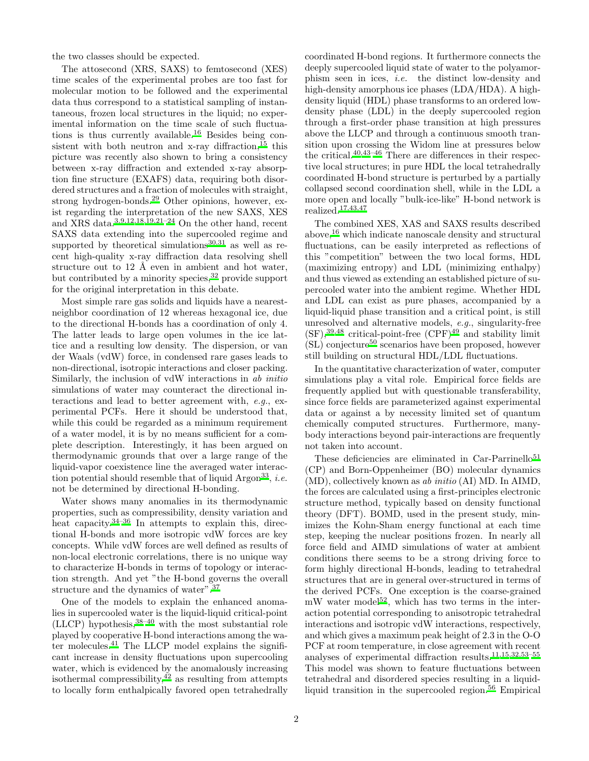the two classes should be expected.

The attosecond (XRS, SAXS) to femtosecond (XES) time scales of the experimental probes are too fast for molecular motion to be followed and the experimental data thus correspond to a statistical sampling of instantaneous, frozen local structures in the liquid; no experimental information on the time scale of such fluctuations is thus currently available.[16](#page-11-4) Besides being consistent with both neutron and  $x$ -ray diffraction,  $15$  this picture was recently also shown to bring a consistency between x-ray diffraction and extended x-ray absorption fine structure (EXAFS) data, requiring both disordered structures and a fraction of molecules with straight, strong hydrogen-bonds.[29](#page-11-8) Other opinions, however, exist regarding the interpretation of the new SAXS, XES and XRS data.[3](#page-10-1)[,9](#page-11-9)[,12](#page-11-10)[,18](#page-11-11)[,19](#page-11-12)[,21](#page-11-13)[–24](#page-11-14) On the other hand, recent SAXS data extending into the supercooled regime and supported by theoretical simulations $30,31$  $30,31$  as well as recent high-quality x-ray diffraction data resolving shell structure out to 12 Å even in ambient and hot water, but contributed by a minority species,  $32$  provide support for the original interpretation in this debate.

Most simple rare gas solids and liquids have a nearestneighbor coordination of 12 whereas hexagonal ice, due to the directional H-bonds has a coordination of only 4. The latter leads to large open volumes in the ice lattice and a resulting low density. The dispersion, or van der Waals (vdW) force, in condensed rare gases leads to non-directional, isotropic interactions and closer packing. Similarly, the inclusion of vdW interactions in ab initio simulations of water may counteract the directional interactions and lead to better agreement with, e.g., experimental PCFs. Here it should be understood that, while this could be regarded as a minimum requirement of a water model, it is by no means sufficient for a complete description. Interestingly, it has been argued on thermodynamic grounds that over a large range of the liquid-vapor coexistence line the averaged water interac-tion potential should resemble that of liquid Argon<sup>[33](#page-11-18)</sup>, *i.e.* not be determined by directional H-bonding.

Water shows many anomalies in its thermodynamic properties, such as compressibility, density variation and heat capacity.<sup>[34](#page-11-19)[–36](#page-11-20)</sup> In attempts to explain this, directional H-bonds and more isotropic vdW forces are key concepts. While vdW forces are well defined as results of non-local electronic correlations, there is no unique way to characterize H-bonds in terms of topology or interaction strength. And yet "the H-bond governs the overall structure and the dynamics of water".[37](#page-11-21)

One of the models to explain the enhanced anomalies in supercooled water is the liquid-liquid critical-point  $(LLCP)$  hypothesis,  $38-40$  $38-40$  with the most substantial role played by cooperative H-bond interactions among the water molecules.[41](#page-11-24) The LLCP model explains the significant increase in density fluctuations upon supercooling water, which is evidenced by the anomalously increasing isothermal compressibility,  $42$  as resulting from attempts to locally form enthalpically favored open tetrahedrally

coordinated H-bond regions. It furthermore connects the deeply supercooled liquid state of water to the polyamorphism seen in ices, i.e. the distinct low-density and high-density amorphous ice phases (LDA/HDA). A highdensity liquid (HDL) phase transforms to an ordered lowdensity phase (LDL) in the deeply supercooled region through a first-order phase transition at high pressures above the LLCP and through a continuous smooth transition upon crossing the Widom line at pressures below the critical[.](#page-11-23)40[,43](#page-12-0)[–46](#page-12-1) There are differences in their respective local structures; in pure HDL the local tetrahedrally coordinated H-bond structure is perturbed by a partially collapsed second coordination shell, while in the LDL a more open and locally "bulk-ice-like" H-bond network is realized.[17](#page-11-26)[,43](#page-12-0)[,47](#page-12-2)

The combined XES, XAS and SAXS results described above,[16](#page-11-4) which indicate nanoscale density and structural fluctuations, can be easily interpreted as reflections of this "competition" between the two local forms, HDL (maximizing entropy) and LDL (minimizing enthalpy) and thus viewed as extending an established picture of supercooled water into the ambient regime. Whether HDL and LDL can exist as pure phases, accompanied by a liquid-liquid phase transition and a critical point, is still unresolved and alternative models, e.g., singularity-free  $(SF),<sup>39,48</sup>$  $(SF),<sup>39,48</sup>$  $(SF),<sup>39,48</sup>$  $(SF),<sup>39,48</sup>$  critical-point-free  $(CPF)<sup>49</sup>$  $(CPF)<sup>49</sup>$  $(CPF)<sup>49</sup>$  and stability limit  $(SL)$  conjecture<sup>[50](#page-12-5)</sup> scenarios have been proposed, however still building on structural HDL/LDL fluctuations.

In the quantitative characterization of water, computer simulations play a vital role. Empirical force fields are frequently applied but with questionable transferability, since force fields are parameterized against experimental data or against a by necessity limited set of quantum chemically computed structures. Furthermore, manybody interactions beyond pair-interactions are frequently not taken into account.

These deficiencies are eliminated in Car-Parrinello<sup>[51](#page-12-6)</sup> (CP) and Born-Oppenheimer (BO) molecular dynamics (MD), collectively known as ab initio (AI) MD. In AIMD, the forces are calculated using a first-principles electronic structure method, typically based on density functional theory (DFT). BOMD, used in the present study, minimizes the Kohn-Sham energy functional at each time step, keeping the nuclear positions frozen. In nearly all force field and AIMD simulations of water at ambient conditions there seems to be a strong driving force to form highly directional H-bonds, leading to tetrahedral structures that are in general over-structured in terms of the derived PCFs. One exception is the coarse-grained  $mW$  water model<sup>[52](#page-12-7)</sup>, which has two terms in the interaction potential corresponding to anisotropic tetrahedral interactions and isotropic vdW interactions, respectively, and which gives a maximum peak height of 2.3 in the O-O PCF at room temperature, in close agreement with recent analyses of experimental diffraction results[.](#page-11-1)  $11,15,32,53-55$  $11,15,32,53-55$  $11,15,32,53-55$  $11,15,32,53-55$  $11,15,32,53-55$ This model was shown to feature fluctuations between tetrahedral and disordered species resulting in a liquid-liquid transition in the supercooled region.<sup>[56](#page-12-10)</sup> Empirical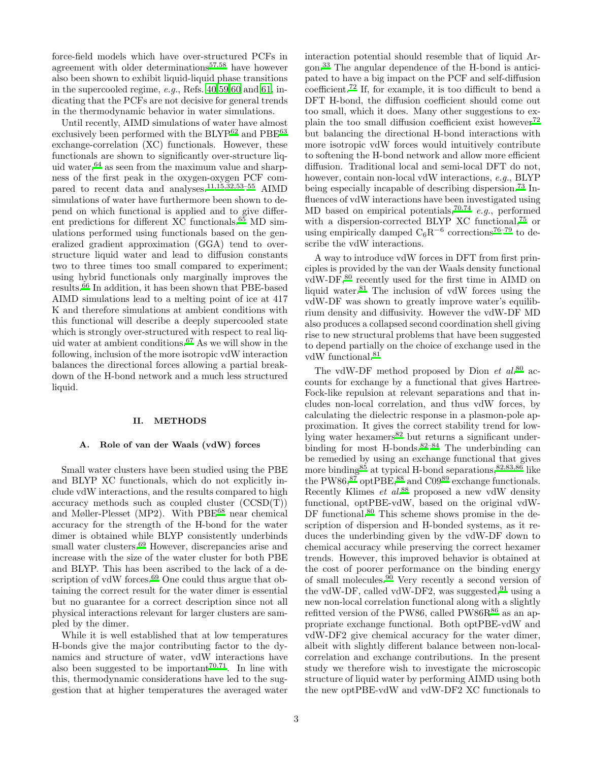force-field models which have over-structured PCFs in agreement with older determinations[57](#page-12-11)[,58](#page-12-12) have however also been shown to exhibit liquid-liquid phase transitions in the supercooled regime, e.g., Refs. [40](#page-11-23)[,59](#page-12-13)[,60](#page-12-14) and [61,](#page-12-15) indicating that the PCFs are not decisive for general trends in the thermodynamic behavior in water simulations.

Until recently, AIMD simulations of water have almost exclusively been performed with the BLYP<sup>[62](#page-12-16)</sup> and PBE<sup>[63](#page-12-17)</sup> exchange-correlation (XC) functionals. However, these functionals are shown to significantly over-structure liquid water,  $64$  as seen from the maximum value and sharpness of the first peak in the oxygen-oxygen PCF compared to recent data and analyses.[11](#page-11-1)[,15](#page-11-2)[,32](#page-11-17)[,53](#page-12-8)[–55](#page-12-9) AIMD simulations of water have furthermore been shown to depend on which functional is applied and to give different predictions for different XC functionals.[65](#page-12-19) MD simulations performed using functionals based on the generalized gradient approximation (GGA) tend to overstructure liquid water and lead to diffusion constants two to three times too small compared to experiment; using hybrid functionals only marginally improves the results.[66](#page-12-20) In addition, it has been shown that PBE-based AIMD simulations lead to a melting point of ice at 417 K and therefore simulations at ambient conditions with this functional will describe a deeply supercooled state which is strongly over-structured with respect to real liquid water at ambient conditions[.](#page-12-21)<sup>67</sup> As we will show in the following, inclusion of the more isotropic vdW interaction balances the directional forces allowing a partial breakdown of the H-bond network and a much less structured liquid.

### II. METHODS

### A. Role of van der Waals (vdW) forces

Small water clusters have been studied using the PBE and BLYP XC functionals, which do not explicitly include vdW interactions, and the results compared to high accuracy methods such as coupled cluster (CCSD(T)) and Møller-Plesset (MP2). With PBE<sup>[68](#page-12-22)</sup> near chemical accuracy for the strength of the H-bond for the water dimer is obtained while BLYP consistently underbinds small water clusters.<sup>[69](#page-12-23)</sup> However, discrepancies arise and increase with the size of the water cluster for both PBE and BLYP. This has been ascribed to the lack of a description of vdW forces. $69$  One could thus argue that obtaining the correct result for the water dimer is essential but no guarantee for a correct description since not all physical interactions relevant for larger clusters are sampled by the dimer.

While it is well established that at low temperatures H-bonds give the major contributing factor to the dynamics and structure of water, vdW interactions have also been suggested to be important<sup> $70,71$  $70,71$ </sup>. In line with this, thermodynamic considerations have led to the suggestion that at higher temperatures the averaged water

interaction potential should resemble that of liquid Argon.[33](#page-11-18) The angular dependence of the H-bond is anticipated to have a big impact on the PCF and self-diffusion coefficient.[72](#page-12-26) If, for example, it is too difficult to bend a DFT H-bond, the diffusion coefficient should come out too small, which it does. Many other suggestions to ex-plain the too small diffusion coefficient exist however<sup>[72](#page-12-26)</sup> but balancing the directional H-bond interactions with more isotropic vdW forces would intuitively contribute to softening the H-bond network and allow more efficient diffusion. Traditional local and semi-local DFT do not, however, contain non-local vdW interactions, e.g., BLYP being especially incapable of describing dispersion.[73](#page-12-27) Influences of vdW interactions have been investigated using MD based on empirical potentials,<sup>[70](#page-12-24)[,74](#page-12-28)</sup> e.g., performed with a dispersion-corrected BLYP XC functional,<sup>[75](#page-12-29)</sup> or using empirically damped  $C_6R^{-6}$  corrections<sup>[76](#page-12-30)[–79](#page-12-31)</sup> to describe the vdW interactions.

A way to introduce vdW forces in DFT from first principles is provided by the van der Waals density functional vdW-DF,<sup>[80](#page-12-32)</sup> recently used for the first time in AIMD on liquid water. $81$  The inclusion of vdW forces using the vdW-DF was shown to greatly improve water's equilibrium density and diffusivity. However the vdW-DF MD also produces a collapsed second coordination shell giving rise to new structural problems that have been suggested to depend partially on the choice of exchange used in the vdW functional.<sup>[81](#page-12-33)</sup>

The vdW-DF method proposed by Dion  $et \ al.<sup>80</sup>$  $et \ al.<sup>80</sup>$  $et \ al.<sup>80</sup>$  accounts for exchange by a functional that gives Hartree-Fock-like repulsion at relevant separations and that includes non-local correlation, and thus vdW forces, by calculating the dielectric response in a plasmon-pole approximation. It gives the correct stability trend for low-lying water hexamers<sup>[82](#page-12-34)</sup> but returns a significant underbinding for most H-bonds. $82-84$  $82-84$  The underbinding can be remedied by using an exchange functional that gives more binding<sup>[85](#page-12-36)</sup> at typical H-bond separations,  $82,83,86$  $82,83,86$  $82,83,86$  like the PW86, $87$  optPBE, $88$  and C09 $89$  exchange functionals. Recently Klimes et al.<sup>[88](#page-12-40)</sup> proposed a new vdW density functional, optPBE-vdW, based on the original vdW-DF functional[.](#page-12-32)<sup>80</sup> This scheme shows promise in the description of dispersion and H-bonded systems, as it reduces the underbinding given by the vdW-DF down to chemical accuracy while preserving the correct hexamer trends. However, this improved behavior is obtained at the cost of poorer performance on the binding energy of small molecules.[90](#page-12-42) Very recently a second version of the vdW-DF, called vdW-DF2, was suggested,  $91$  using a new non-local correlation functional along with a slightly refitted version of the PW[86](#page-12-38), called PW86R $86$  as an appropriate exchange functional. Both optPBE-vdW and vdW-DF2 give chemical accuracy for the water dimer, albeit with slightly different balance between non-localcorrelation and exchange contributions. In the present study we therefore wish to investigate the microscopic structure of liquid water by performing AIMD using both the new optPBE-vdW and vdW-DF2 XC functionals to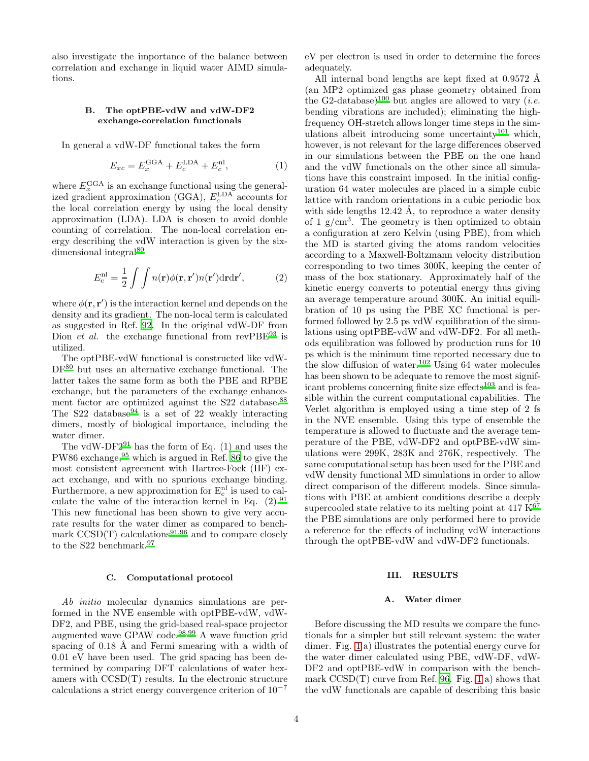also investigate the importance of the balance between correlation and exchange in liquid water AIMD simulations.

# B. The optPBE-vdW and vdW-DF2 exchange-correlation functionals

In general a vdW-DF functional takes the form

$$
E_{xc} = E_x^{\text{GGA}} + E_c^{\text{LDA}} + E_c^{\text{nl}},\tag{1}
$$

where  $E_x^{\text{GGA}}$  is an exchange functional using the generalized gradient approximation (GGA),  $E_c^{\text{LDA}}$  accounts for the local correlation energy by using the local density approximation (LDA). LDA is chosen to avoid double counting of correlation. The non-local correlation energy describing the vdW interaction is given by the six-dimensional integral<sup>[80](#page-12-32)</sup>

$$
E_c^{\rm nl} = \frac{1}{2} \int \int n(\mathbf{r}) \phi(\mathbf{r}, \mathbf{r}') n(\mathbf{r}') d\mathbf{r} d\mathbf{r}',\tag{2}
$$

where  $\phi(\mathbf{r}, \mathbf{r}')$  is the interaction kernel and depends on the density and its gradient. The non-local term is calculated as suggested in Ref. [92.](#page-12-44) In the original vdW-DF from Dion *et al.* the exchange functional from  $revPBE^{93}$  $revPBE^{93}$  $revPBE^{93}$  is utilized.

The optPBE-vdW functional is constructed like vdW-DF[80](#page-12-32) but uses an alternative exchange functional. The latter takes the same form as both the PBE and RPBE exchange, but the parameters of the exchange enhance-ment factor are optimized against the S22 database[.](#page-12-40)<sup>88</sup> The S22 database<sup>[94](#page-12-46)</sup> is a set of 22 weakly interacting dimers, mostly of biological importance, including the water dimer.

The vdW-DF $2^{91}$  $2^{91}$  $2^{91}$  has the form of Eq. (1) and uses the PW86 exchange,  $95$  which is argued in Ref. [86](#page-12-38) to give the most consistent agreement with Hartree-Fock (HF) exact exchange, and with no spurious exchange binding. Furthermore, a new approximation for  $E_c^{nl}$  is used to calculate the value of the interaction kernel in Eq.  $(2).^{91}$  $(2).^{91}$  $(2).^{91}$ This new functional has been shown to give very accurate results for the water dimer as compared to benchmark  $CCSD(T)$  calculations<sup>[91](#page-12-43)[,96](#page-12-48)</sup> and to compare closely to the S22 benchmark.<sup>[97](#page-12-49)</sup>

#### C. Computational protocol

Ab initio molecular dynamics simulations are performed in the NVE ensemble with optPBE-vdW, vdW-DF2, and PBE, using the grid-based real-space projector augmented wave GPAW code.[98](#page-13-0)[,99](#page-13-1) A wave function grid spacing of  $0.18$  Å and Fermi smearing with a width of 0.01 eV have been used. The grid spacing has been determined by comparing DFT calculations of water hexamers with CCSD(T) results. In the electronic structure calculations a strict energy convergence criterion of 10<sup>−</sup><sup>7</sup>

eV per electron is used in order to determine the forces adequately.

All internal bond lengths are kept fixed at  $0.9572 \text{ Å}$ (an MP2 optimized gas phase geometry obtained from the G2-database)<sup>[100](#page-13-2)</sup> but angles are allowed to vary (*i.e.* bending vibrations are included); eliminating the highfrequency OH-stretch allows longer time steps in the sim-ulations albeit introducing some uncertainty<sup>[101](#page-13-3)</sup> which, however, is not relevant for the large differences observed in our simulations between the PBE on the one hand and the vdW functionals on the other since all simulations have this constraint imposed. In the initial configuration 64 water molecules are placed in a simple cubic lattice with random orientations in a cubic periodic box with side lengths  $12.42$  Å, to reproduce a water density of 1  $g/cm<sup>3</sup>$ . The geometry is then optimized to obtain a configuration at zero Kelvin (using PBE), from which the MD is started giving the atoms random velocities according to a Maxwell-Boltzmann velocity distribution corresponding to two times 300K, keeping the center of mass of the box stationary. Approximately half of the kinetic energy converts to potential energy thus giving an average temperature around 300K. An initial equilibration of 10 ps using the PBE XC functional is performed followed by 2.5 ps vdW equilibration of the simulations using optPBE-vdW and vdW-DF2. For all methods equilibration was followed by production runs for 10 ps which is the minimum time reported necessary due to the slow diffusion of water[.](#page-13-4)<sup>102</sup> Using 64 water molecules has been shown to be adequate to remove the most signif-icant problems concerning finite size effects<sup>[103](#page-13-5)</sup> and is feasible within the current computational capabilities. The Verlet algorithm is employed using a time step of 2 fs in the NVE ensemble. Using this type of ensemble the temperature is allowed to fluctuate and the average temperature of the PBE, vdW-DF2 and optPBE-vdW simulations were 299K, 283K and 276K, respectively. The same computational setup has been used for the PBE and vdW density functional MD simulations in order to allow direct comparison of the different models. Since simulations with PBE at ambient conditions describe a deeply supercooled state relative to its melting point at  $417 \text{ K}^{67}$  $417 \text{ K}^{67}$  $417 \text{ K}^{67}$ the PBE simulations are only performed here to provide a reference for the effects of including vdW interactions through the optPBE-vdW and vdW-DF2 functionals.

#### III. RESULTS

#### A. Water dimer

Before discussing the MD results we compare the functionals for a simpler but still relevant system: the water dimer. Fig. [1](#page-4-0) a) illustrates the potential energy curve for the water dimer calculated using PBE, vdW-DF, vdW-DF2 and optPBE-vdW in comparison with the benchmark  $CCSD(T)$  curve from Ref. [96.](#page-12-48) Fig. [1](#page-4-0) a) shows that the vdW functionals are capable of describing this basic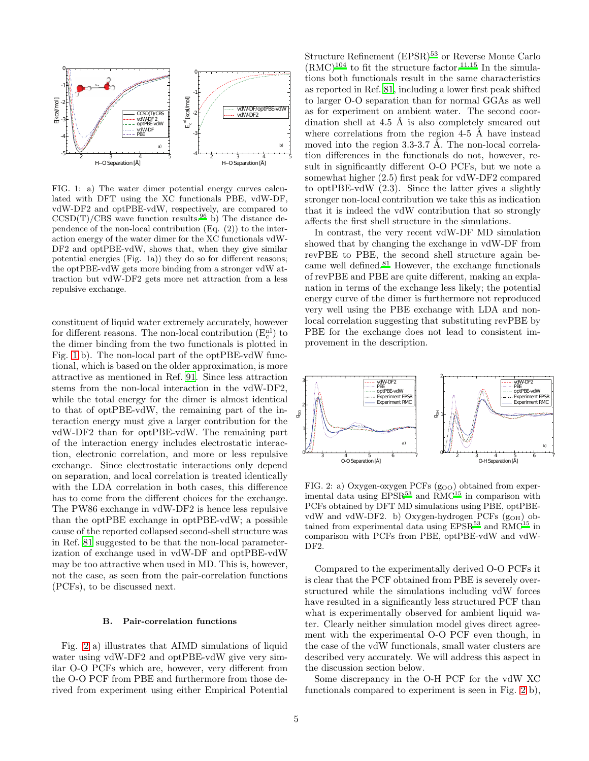

<span id="page-4-0"></span>FIG. 1: a) The water dimer potential energy curves calculated with DFT using the XC functionals PBE, vdW-DF, vdW-DF2 and optPBE-vdW, respectively, are compared to  $CCSD(T)/CBS$  wave function results[.](#page-12-48)<sup>96</sup> b) The distance dependence of the non-local contribution (Eq. (2)) to the interaction energy of the water dimer for the XC functionals vdW-DF2 and optPBE-vdW, shows that, when they give similar potential energies (Fig. 1a)) they do so for different reasons; the optPBE-vdW gets more binding from a stronger vdW attraction but vdW-DF2 gets more net attraction from a less repulsive exchange.

constituent of liquid water extremely accurately, however for different reasons. The non-local contribution  $(E_c^{nl})$  to the dimer binding from the two functionals is plotted in Fig. [1](#page-4-0) b). The non-local part of the optPBE-vdW functional, which is based on the older approximation, is more attractive as mentioned in Ref. [91.](#page-12-43) Since less attraction stems from the non-local interaction in the vdW-DF2, while the total energy for the dimer is almost identical to that of optPBE-vdW, the remaining part of the interaction energy must give a larger contribution for the vdW-DF2 than for optPBE-vdW. The remaining part of the interaction energy includes electrostatic interaction, electronic correlation, and more or less repulsive exchange. Since electrostatic interactions only depend on separation, and local correlation is treated identically with the LDA correlation in both cases, this difference has to come from the different choices for the exchange. The PW86 exchange in vdW-DF2 is hence less repulsive than the optPBE exchange in optPBE-vdW; a possible cause of the reported collapsed second-shell structure was in Ref. [81](#page-12-33) suggested to be that the non-local parameterization of exchange used in vdW-DF and optPBE-vdW may be too attractive when used in MD. This is, however, not the case, as seen from the pair-correlation functions (PCFs), to be discussed next.

# B. Pair-correlation functions

Fig. [2](#page-4-1) a) illustrates that AIMD simulations of liquid water using vdW-DF2 and optPBE-vdW give very similar O-O PCFs which are, however, very different from the O-O PCF from PBE and furthermore from those derived from experiment using either Empirical Potential

Structure Refinement (EPSR) $53$  or Reverse Monte Carlo  $(RMC)^{104}$  $(RMC)^{104}$  $(RMC)^{104}$  to fit the structure factor.<sup>[11](#page-11-1)[,15](#page-11-2)</sup> In the simulations both functionals result in the same characteristics as reported in Ref. [81](#page-12-33), including a lower first peak shifted to larger O-O separation than for normal GGAs as well as for experiment on ambient water. The second coordination shell at 4.5  $\AA$  is also completely smeared out where correlations from the region  $4-5$  Å have instead moved into the region  $3.3-3.7$  Å. The non-local correlation differences in the functionals do not, however, result in significantly different O-O PCFs, but we note a somewhat higher (2.5) first peak for vdW-DF2 compared to optPBE-vdW (2.3). Since the latter gives a slightly stronger non-local contribution we take this as indication that it is indeed the vdW contribution that so strongly affects the first shell structure in the simulations.

In contrast, the very recent vdW-DF MD simulation showed that by changing the exchange in vdW-DF from revPBE to PBE, the second shell structure again became well defined.[81](#page-12-33) However, the exchange functionals of revPBE and PBE are quite different, making an explanation in terms of the exchange less likely; the potential energy curve of the dimer is furthermore not reproduced very well using the PBE exchange with LDA and nonlocal correlation suggesting that substituting revPBE by PBE for the exchange does not lead to consistent improvement in the description.



<span id="page-4-1"></span>FIG. 2: a) Oxygen-oxygen PCFs (goo) obtained from experimental data using  $EPSR<sup>53</sup>$  $EPSR<sup>53</sup>$  $EPSR<sup>53</sup>$  and  $RMC<sup>15</sup>$  $RMC<sup>15</sup>$  $RMC<sup>15</sup>$  in comparison with PCFs obtained by DFT MD simulations using PBE, optPBEvdW and vdW-DF2. b) Oxygen-hydrogen PCFs (g<sub>OH</sub>) obtained from experimental data using  $EPSR<sup>53</sup>$  $EPSR<sup>53</sup>$  $EPSR<sup>53</sup>$  and  $\widetilde{RMC}^{15}$  $\widetilde{RMC}^{15}$  $\widetilde{RMC}^{15}$  in comparison with PCFs from PBE, optPBE-vdW and vdW-DF2.

Compared to the experimentally derived O-O PCFs it is clear that the PCF obtained from PBE is severely overstructured while the simulations including vdW forces have resulted in a significantly less structured PCF than what is experimentally observed for ambient liquid water. Clearly neither simulation model gives direct agreement with the experimental O-O PCF even though, in the case of the vdW functionals, small water clusters are described very accurately. We will address this aspect in the discussion section below.

Some discrepancy in the O-H PCF for the vdW XC functionals compared to experiment is seen in Fig. [2](#page-4-1) b),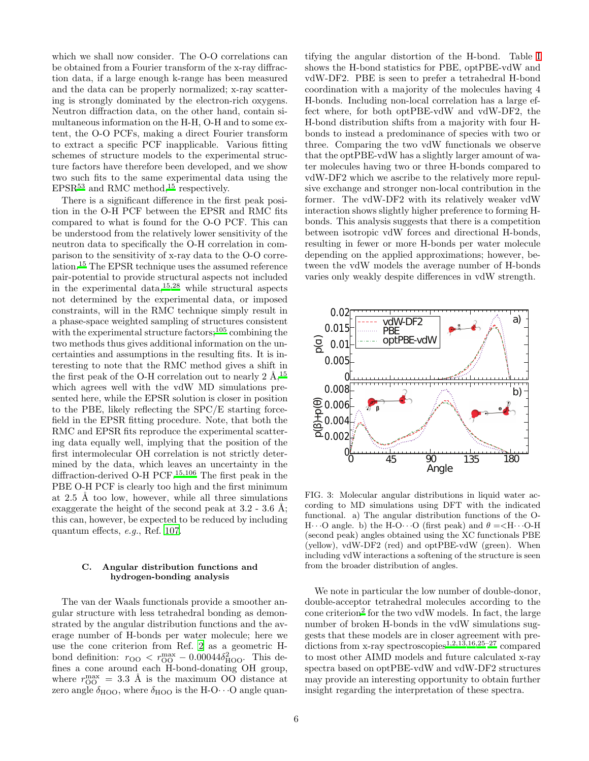which we shall now consider. The O-O correlations can be obtained from a Fourier transform of the x-ray diffraction data, if a large enough k-range has been measured and the data can be properly normalized; x-ray scattering is strongly dominated by the electron-rich oxygens. Neutron diffraction data, on the other hand, contain simultaneous information on the H-H, O-H and to some extent, the O-O PCFs, making a direct Fourier transform to extract a specific PCF inapplicable. Various fitting schemes of structure models to the experimental structure factors have therefore been developed, and we show two such fits to the same experimental data using the  $EPSR<sup>53</sup>$  $EPSR<sup>53</sup>$  $EPSR<sup>53</sup>$  and RMC method,<sup>[15](#page-11-2)</sup> respectively.

There is a significant difference in the first peak position in the O-H PCF between the EPSR and RMC fits compared to what is found for the O-O PCF. This can be understood from the relatively lower sensitivity of the neutron data to specifically the O-H correlation in comparison to the sensitivity of x-ray data to the O-O correlation.[15](#page-11-2) The EPSR technique uses the assumed reference pair-potential to provide structural aspects not included in the experimental data,[15](#page-11-2)[,28](#page-11-3) while structural aspects not determined by the experimental data, or imposed constraints, will in the RMC technique simply result in a phase-space weighted sampling of structures consistent with the experimental structure factors;  $^{105}$  $^{105}$  $^{105}$  combining the two methods thus gives additional information on the uncertainties and assumptions in the resulting fits. It is interesting to note that the RMC method gives a shift in the first peak of the O-H correlation out to nearly  $2 \text{ Å}$ ,  $^{15}$  $^{15}$  $^{15}$ which agrees well with the vdW MD simulations presented here, while the EPSR solution is closer in position to the PBE, likely reflecting the SPC/E starting forcefield in the EPSR fitting procedure. Note, that both the RMC and EPSR fits reproduce the experimental scattering data equally well, implying that the position of the first intermolecular OH correlation is not strictly determined by the data, which leaves an uncertainty in the diffraction-derived O-H PCF[.](#page-11-2)15[,106](#page-13-8) The first peak in the PBE O-H PCF is clearly too high and the first minimum at  $2.5$  Å too low, however, while all three simulations exaggerate the height of the second peak at  $3.2$  -  $3.6$  Å; this can, however, be expected to be reduced by including quantum effects, e.g., Ref. [107](#page-13-9).

### C. Angular distribution functions and hydrogen-bonding analysis

The van der Waals functionals provide a smoother angular structure with less tetrahedral bonding as demonstrated by the angular distribution functions and the average number of H-bonds per water molecule; here we use the cone criterion from Ref. [2](#page-10-2) as a geometric Hbond definition:  $r_{\text{OO}} < r_{\text{OO}}^{\text{max}} - 0.00044 \delta_{\text{HOO}}^2$ . This defines a cone around each H-bond-donating OH group, where  $r_{\rm OO}^{\rm max} = 3.3 \text{ Å}$  is the maximum OO distance at zero angle  $\delta_{\text{HOO}}$ , where  $\delta_{\text{HOO}}$  is the H-O···O angle quantifying the angular distortion of the H-bond. Table [I](#page-6-0) shows the H-bond statistics for PBE, optPBE-vdW and vdW-DF2. PBE is seen to prefer a tetrahedral H-bond coordination with a majority of the molecules having 4 H-bonds. Including non-local correlation has a large effect where, for both optPBE-vdW and vdW-DF2, the H-bond distribution shifts from a majority with four Hbonds to instead a predominance of species with two or three. Comparing the two vdW functionals we observe that the optPBE-vdW has a slightly larger amount of water molecules having two or three H-bonds compared to vdW-DF2 which we ascribe to the relatively more repulsive exchange and stronger non-local contribution in the former. The vdW-DF2 with its relatively weaker vdW interaction shows slightly higher preference to forming Hbonds. This analysis suggests that there is a competition between isotropic vdW forces and directional H-bonds, resulting in fewer or more H-bonds per water molecule depending on the applied approximations; however, between the vdW models the average number of H-bonds varies only weakly despite differences in vdW strength.



<span id="page-5-0"></span>FIG. 3: Molecular angular distributions in liquid water according to MD simulations using DFT with the indicated functional. a) The angular distribution functions of the O-H $\cdots$ O angle. b) the H-O $\cdots$ O (first peak) and  $\theta = \langle H \cdots$ O-H (second peak) angles obtained using the XC functionals PBE (yellow), vdW-DF2 (red) and optPBE-vdW (green). When including vdW interactions a softening of the structure is seen from the broader distribution of angles.

We note in particular the low number of double-donor, double-acceptor tetrahedral molecules according to the cone criterion<sup>[2](#page-10-2)</sup> for the two vdW models. In fact, the large number of broken H-bonds in the vdW simulations suggests that these models are in closer agreement with pre-dictions from x-ray spectroscopies<sup>[1](#page-10-0)[,2](#page-10-2)[,13](#page-11-5)[,16](#page-11-4)[,25](#page-11-7)[–27](#page-11-0)</sup> compared to most other AIMD models and future calculated x-ray spectra based on optPBE-vdW and vdW-DF2 structures may provide an interesting opportunity to obtain further insight regarding the interpretation of these spectra.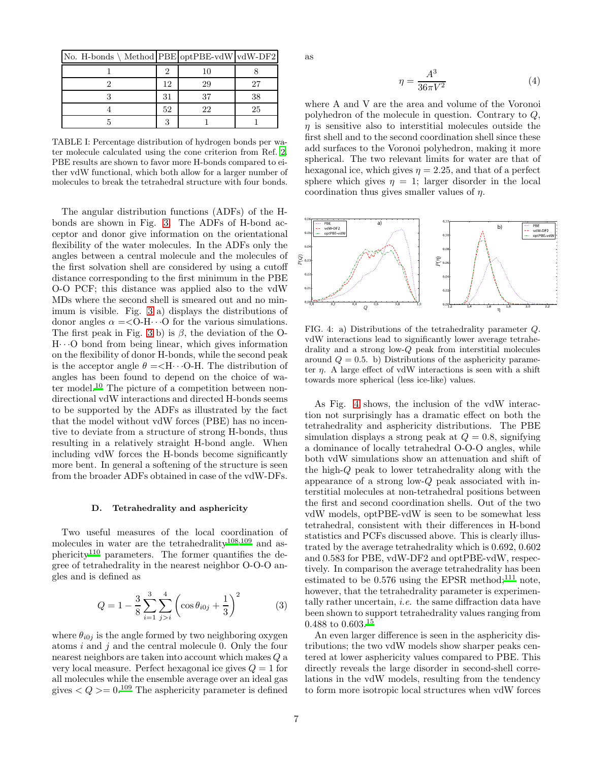| No. H-bonds \ Method PBE optPBE-vdW vdW-DF2 |    |    |    |
|---------------------------------------------|----|----|----|
|                                             |    | 10 |    |
|                                             | 12 | 29 |    |
|                                             | 31 | 37 | 38 |
|                                             | 52 | 22 | 25 |
|                                             |    |    |    |

<span id="page-6-0"></span>TABLE I: Percentage distribution of hydrogen bonds per water molecule calculated using the cone criterion from Ref. [2.](#page-10-2) PBE results are shown to favor more H-bonds compared to either vdW functional, which both allow for a larger number of molecules to break the tetrahedral structure with four bonds.

The angular distribution functions (ADFs) of the Hbonds are shown in Fig. [3.](#page-5-0) The ADFs of H-bond acceptor and donor give information on the orientational flexibility of the water molecules. In the ADFs only the angles between a central molecule and the molecules of the first solvation shell are considered by using a cutoff distance corresponding to the first minimum in the PBE O-O PCF; this distance was applied also to the vdW MDs where the second shell is smeared out and no minimum is visible. Fig. [3](#page-5-0) a) displays the distributions of donor angles  $\alpha = < 0$ -H $\cdots$  for the various simulations. The first peak in Fig. [3](#page-5-0) b) is  $\beta$ , the deviation of the O- $H \cdot \cdot \cdot O$  bond from being linear, which gives information on the flexibility of donor H-bonds, while the second peak is the acceptor angle  $\theta = \langle H \cdot \cdot \cdot \cdot \cdot \cdot \rangle$ . The distribution of angles has been found to depend on the choice of wa-ter model[.](#page-11-28)<sup>10</sup> The picture of a competition between nondirectional vdW interactions and directed H-bonds seems to be supported by the ADFs as illustrated by the fact that the model without vdW forces (PBE) has no incentive to deviate from a structure of strong H-bonds, thus resulting in a relatively straight H-bond angle. When including vdW forces the H-bonds become significantly more bent. In general a softening of the structure is seen from the broader ADFs obtained in case of the vdW-DFs.

# D. Tetrahedrality and asphericity

Two useful measures of the local coordination of molecules in water are the tetrahedrality<sup>[108](#page-13-10)[,109](#page-13-11)</sup> and as-phericity<sup>[110](#page-13-12)</sup> parameters. The former quantifies the degree of tetrahedrality in the nearest neighbor O-O-O angles and is defined as

$$
Q = 1 - \frac{3}{8} \sum_{i=1}^{3} \sum_{j>i}^{4} \left( \cos \theta_{i0j} + \frac{1}{3} \right)^2 \tag{3}
$$

where  $\theta_{i0j}$  is the angle formed by two neighboring oxygen atoms  $i$  and  $j$  and the central molecule 0. Only the four nearest neighbors are taken into account which makes Q a very local measure. Perfect hexagonal ice gives  $Q = 1$  for all molecules while the ensemble average over an ideal gas gives  $\langle Q \rangle = 0.109$  $\langle Q \rangle = 0.109$  The asphericity parameter is defined

as

$$
\eta = \frac{A^3}{36\pi V^2} \tag{4}
$$

where A and V are the area and volume of the Voronoi polyhedron of the molecule in question. Contrary to Q,  $\eta$  is sensitive also to interstitial molecules outside the first shell and to the second coordination shell since these add surfaces to the Voronoi polyhedron, making it more spherical. The two relevant limits for water are that of hexagonal ice, which gives  $\eta = 2.25$ , and that of a perfect sphere which gives  $\eta = 1$ ; larger disorder in the local coordination thus gives smaller values of  $\eta$ .



<span id="page-6-1"></span>FIG. 4: a) Distributions of the tetrahedrality parameter Q. vdW interactions lead to significantly lower average tetrahedrality and a strong low-Q peak from interstitial molecules around  $Q = 0.5$ . b) Distributions of the asphericity parameter  $\eta$ . A large effect of vdW interactions is seen with a shift towards more spherical (less ice-like) values.

As Fig. [4](#page-6-1) shows, the inclusion of the vdW interaction not surprisingly has a dramatic effect on both the tetrahedrality and asphericity distributions. The PBE simulation displays a strong peak at  $Q = 0.8$ , signifying a dominance of locally tetrahedral O-O-O angles, while both vdW simulations show an attenuation and shift of the high-Q peak to lower tetrahedrality along with the appearance of a strong low-Q peak associated with interstitial molecules at non-tetrahedral positions between the first and second coordination shells. Out of the two vdW models, optPBE-vdW is seen to be somewhat less tetrahedral, consistent with their differences in H-bond statistics and PCFs discussed above. This is clearly illustrated by the average tetrahedrality which is 0.692, 0.602 and 0.583 for PBE, vdW-DF2 and optPBE-vdW, respectively. In comparison the average tetrahedrality has been estimated to be 0.576 using the EPSR method;<sup>[111](#page-13-13)</sup> note, however, that the tetrahedrality parameter is experimentally rather uncertain, i.e. the same diffraction data have been shown to support tetrahedrality values ranging from 0.488 to 0.603.[15](#page-11-2)

An even larger difference is seen in the asphericity distributions; the two vdW models show sharper peaks centered at lower asphericity values compared to PBE. This directly reveals the large disorder in second-shell correlations in the vdW models, resulting from the tendency to form more isotropic local structures when vdW forces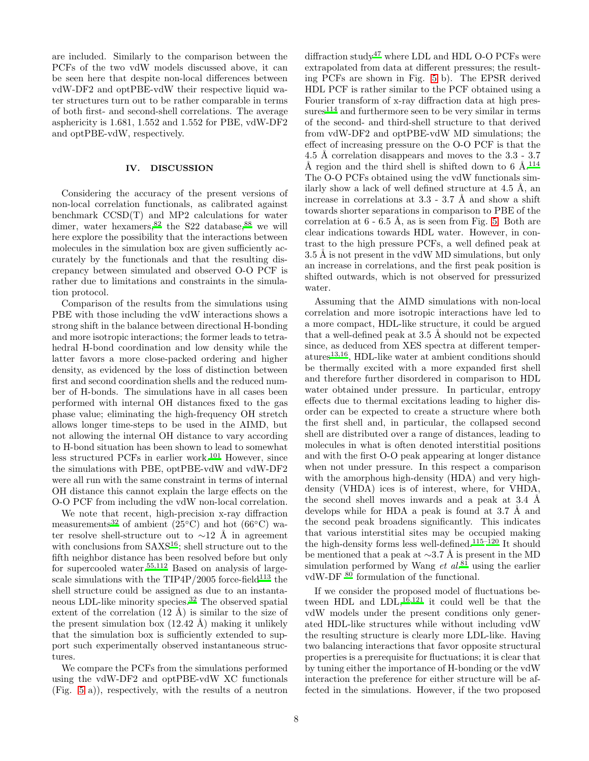are included. Similarly to the comparison between the PCFs of the two vdW models discussed above, it can be seen here that despite non-local differences between vdW-DF2 and optPBE-vdW their respective liquid water structures turn out to be rather comparable in terms of both first- and second-shell correlations. The average asphericity is 1.681, 1.552 and 1.552 for PBE, vdW-DF2 and optPBE-vdW, respectively.

# IV. DISCUSSION

Considering the accuracy of the present versions of non-local correlation functionals, as calibrated against benchmark CCSD(T) and MP2 calculations for water dimer, water hexamers,  $82$  the S22 database,  $88$  we will here explore the possibility that the interactions between molecules in the simulation box are given sufficiently accurately by the functionals and that the resulting discrepancy between simulated and observed O-O PCF is rather due to limitations and constraints in the simulation protocol.

Comparison of the results from the simulations using PBE with those including the vdW interactions shows a strong shift in the balance between directional H-bonding and more isotropic interactions; the former leads to tetrahedral H-bond coordination and low density while the latter favors a more close-packed ordering and higher density, as evidenced by the loss of distinction between first and second coordination shells and the reduced number of H-bonds. The simulations have in all cases been performed with internal OH distances fixed to the gas phase value; eliminating the high-frequency OH stretch allows longer time-steps to be used in the AIMD, but not allowing the internal OH distance to vary according to H-bond situation has been shown to lead to somewhat less structured PCFs in earlier work.<sup>[101](#page-13-3)</sup> However, since the simulations with PBE, optPBE-vdW and vdW-DF2 were all run with the same constraint in terms of internal OH distance this cannot explain the large effects on the O-O PCF from including the vdW non-local correlation.

We note that recent, high-precision x-ray diffraction mea[s](#page-11-17)urements<sup>32</sup> of ambient (25°C) and hot (66°C) water resolve shell-structure out to  $\sim$ 12 Å in agreement with conclusions from SAXS<sup>[16](#page-11-4)</sup>; shell structure out to the fifth neighbor distance has been resolved before but only for supercooled water.<sup>[55](#page-12-9)[,112](#page-13-14)</sup> Based on analysis of large-scale simulations with the TIP4P/2005 force-field<sup>[113](#page-13-15)</sup> the shell structure could be assigned as due to an instantaneous LDL-like minority species.[32](#page-11-17) The observed spatial extent of the correlation  $(12 \text{ Å})$  is similar to the size of the present simulation box  $(12.42 \text{ Å})$  making it unlikely that the simulation box is sufficiently extended to support such experimentally observed instantaneous structures.

We compare the PCFs from the simulations performed using the vdW-DF2 and optPBE-vdW XC functionals (Fig. [5](#page-8-0) a)), respectively, with the results of a neutron diffraction  $\mathrm{study^{47}}$  $\mathrm{study^{47}}$  $\mathrm{study^{47}}$  where LDL and HDL O-O PCFs were extrapolated from data at different pressures; the resulting PCFs are shown in Fig. [5](#page-8-0) b). The EPSR derived HDL PCF is rather similar to the PCF obtained using a Fourier transform of x-ray diffraction data at high pres- $\mathrm{sures}^{114}$  $\mathrm{sures}^{114}$  $\mathrm{sures}^{114}$  and furthermore seen to be very similar in terms of the second- and third-shell structure to that derived from vdW-DF2 and optPBE-vdW MD simulations; the effect of increasing pressure on the O-O PCF is that the 4.5 Å correlation disappears and moves to the 3.3 - 3.7 Å region and the third shell is shifted down to  $6 \text{ Å}.^{114}$  $6 \text{ Å}.^{114}$  $6 \text{ Å}.^{114}$ The O-O PCFs obtained using the vdW functionals similarly show a lack of well defined structure at  $4.5 \text{ Å}$ , an increase in correlations at  $3.3 - 3.7$  Å and show a shift towards shorter separations in comparison to PBE of the correlation at  $6 - 6.5$  Å, as is seen from Fig. [5.](#page-8-0) Both are clear indications towards HDL water. However, in contrast to the high pressure PCFs, a well defined peak at 3.5 Å is not present in the vdW MD simulations, but only an increase in correlations, and the first peak position is shifted outwards, which is not observed for pressurized water.

Assuming that the AIMD simulations with non-local correlation and more isotropic interactions have led to a more compact, HDL-like structure, it could be argued that a well-defined peak at  $3.5 \text{ Å}$  should not be expected since, as deduced from XES spectra at different temper- $atures<sup>13,16</sup>$  $atures<sup>13,16</sup>$  $atures<sup>13,16</sup>$  $atures<sup>13,16</sup>$ , HDL-like water at ambient conditions should be thermally excited with a more expanded first shell and therefore further disordered in comparison to HDL water obtained under pressure. In particular, entropy effects due to thermal excitations leading to higher disorder can be expected to create a structure where both the first shell and, in particular, the collapsed second shell are distributed over a range of distances, leading to molecules in what is often denoted interstitial positions and with the first O-O peak appearing at longer distance when not under pressure. In this respect a comparison with the amorphous high-density (HDA) and very highdensity (VHDA) ices is of interest, where, for VHDA, the second shell moves inwards and a peak at 3.4 Å develops while for HDA a peak is found at  $3.7 \text{ Å}$  and the second peak broadens significantly. This indicates that various interstitial sites may be occupied making the high-density forms less well-defined.[115](#page-13-17)[–120](#page-13-18) It should be mentioned that a peak at ∼3.7 Å is present in the MD simulation performed by Wang *et al.*<sup>[81](#page-12-33)</sup> using the earlier vdW-DF $^{80}$  $^{80}$  $^{80}$  formulation of the functional.

If we consider the proposed model of fluctuations between HDL and LDL, $^{16,121}$  $^{16,121}$  $^{16,121}$  $^{16,121}$  it could well be that the vdW models under the present conditions only generated HDL-like structures while without including vdW the resulting structure is clearly more LDL-like. Having two balancing interactions that favor opposite structural properties is a prerequisite for fluctuations; it is clear that by tuning either the importance of H-bonding or the vdW interaction the preference for either structure will be affected in the simulations. However, if the two proposed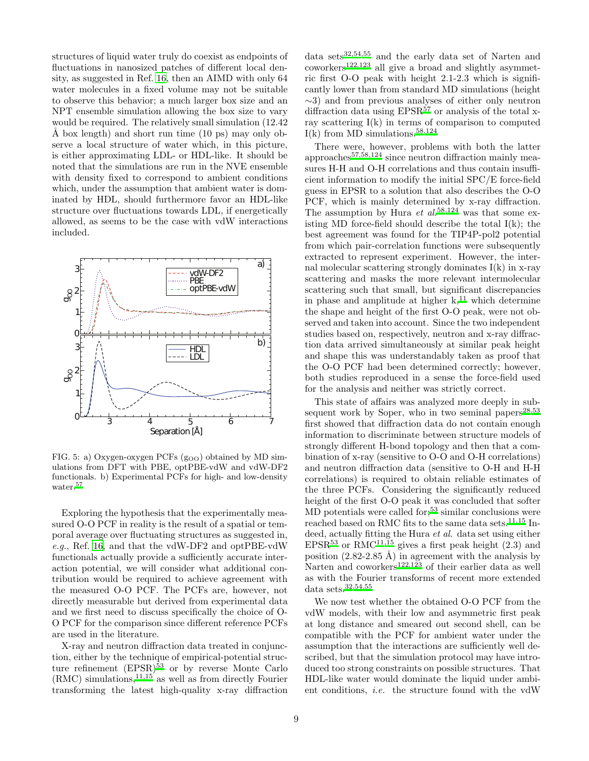structures of liquid water truly do coexist as endpoints of fluctuations in nanosized patches of different local density, as suggested in Ref. [16,](#page-11-4) then an AIMD with only 64 water molecules in a fixed volume may not be suitable to observe this behavior; a much larger box size and an NPT ensemble simulation allowing the box size to vary would be required. The relatively small simulation (12.42  $\AA$  box length) and short run time (10 ps) may only observe a local structure of water which, in this picture, is either approximating LDL- or HDL-like. It should be noted that the simulations are run in the NVE ensemble with density fixed to correspond to ambient conditions which, under the assumption that ambient water is dominated by HDL, should furthermore favor an HDL-like structure over fluctuations towards LDL, if energetically allowed, as seems to be the case with vdW interactions included.



<span id="page-8-0"></span>FIG. 5: a) Oxygen-oxygen PCFs  $(g_{OO})$  obtained by MD simulations from DFT with PBE, optPBE-vdW and vdW-DF2 functionals. b) Experimental PCFs for high- and low-density water[.](#page-12-11)<sup>57</sup>

Exploring the hypothesis that the experimentally measured O-O PCF in reality is the result of a spatial or temporal average over fluctuating structures as suggested in, e.g., Ref. [16](#page-11-4), and that the vdW-DF2 and optPBE-vdW functionals actually provide a sufficiently accurate interaction potential, we will consider what additional contribution would be required to achieve agreement with the measured O-O PCF. The PCFs are, however, not directly measurable but derived from experimental data and we first need to discuss specifically the choice of O-O PCF for the comparison since different reference PCFs are used in the literature.

X-ray and neutron diffraction data treated in conjunction, either by the technique of empirical-potential structure refinement  $(EPSR)^{53}$  $(EPSR)^{53}$  $(EPSR)^{53}$  or by reverse Monte Carlo  $(RMC)$  simulations,  $^{11,15}$  $^{11,15}$  $^{11,15}$  $^{11,15}$  as well as from directly Fourier transforming the latest high-quality x-ray diffraction

data sets<sup>[32](#page-11-17)[,54](#page-12-50)[,55](#page-12-9)</sup> and the early data set of Narten and coworkers[122](#page-13-20)[,123](#page-13-21) all give a broad and slightly asymmetric first O-O peak with height 2.1-2.3 which is significantly lower than from standard MD simulations (height ∼3) and from previous analyses of either only neutron diffraction data using  $EPSR^{57}$  $EPSR^{57}$  $EPSR^{57}$  or analysis of the total xray scattering  $I(k)$  in terms of comparison to computed  $I(k)$  from MD simulations[.](#page-12-12)<sup>58[,124](#page-13-22)</sup>

There were, however, problems with both the latter approaches<sup>[57](#page-12-11)[,58](#page-12-12)[,124](#page-13-22)</sup> since neutron diffraction mainly measures H-H and O-H correlations and thus contain insufficient information to modify the initial SPC/E force-field guess in EPSR to a solution that also describes the O-O PCF, which is mainly determined by x-ray diffraction. The assumption by Hura et  $al^{58,124}$  $al^{58,124}$  $al^{58,124}$  $al^{58,124}$  was that some existing MD force-field should describe the total  $I(k)$ ; the best agreement was found for the TIP4P-pol2 potential from which pair-correlation functions were subsequently extracted to represent experiment. However, the internal molecular scattering strongly dominates I(k) in x-ray scattering and masks the more relevant intermolecular scattering such that small, but significant discrepancies in phase and amplitude at higher  $k<sup>11</sup>$  which determine the shape and height of the first O-O peak, were not observed and taken into account. Since the two independent studies based on, respectively, neutron and x-ray diffraction data arrived simultaneously at similar peak height and shape this was understandably taken as proof that the O-O PCF had been determined correctly; however, both studies reproduced in a sense the force-field used for the analysis and neither was strictly correct.

This state of affairs was analyzed more deeply in sub-sequent work by Soper, who in two seminal papers<sup>[28](#page-11-3)[,53](#page-12-8)</sup> first showed that diffraction data do not contain enough information to discriminate between structure models of strongly different H-bond topology and then that a combination of x-ray (sensitive to O-O and O-H correlations) and neutron diffraction data (sensitive to O-H and H-H correlations) is required to obtain reliable estimates of the three PCFs. Considering the significantly reduced height of the first O-O peak it was concluded that softer MD potentials were called for;<sup>[53](#page-12-8)</sup> similar conclusions were reached based on RMC fits to the same data sets.<sup>[11](#page-11-1)[,15](#page-11-2)</sup> Indeed, actually fitting the Hura et al. data set using either EPSR<sup>[53](#page-12-8)</sup> or RMC<sup>[11](#page-11-1)[,15](#page-11-2)</sup> gives a first peak height  $(2.3)$  and position  $(2.82-2.85 \text{ Å})$  in agreement with the analysis by Narten and coworkers<sup>[122](#page-13-20)[,123](#page-13-21)</sup> of their earlier data as well as with the Fourier transforms of recent more extended data sets. $^{32,54,55}\,$  $^{32,54,55}\,$  $^{32,54,55}\,$  $^{32,54,55}\,$  $^{32,54,55}\,$ 

We now test whether the obtained O-O PCF from the vdW models, with their low and asymmetric first peak at long distance and smeared out second shell, can be compatible with the PCF for ambient water under the assumption that the interactions are sufficiently well described, but that the simulation protocol may have introduced too strong constraints on possible structures. That HDL-like water would dominate the liquid under ambient conditions, i.e. the structure found with the vdW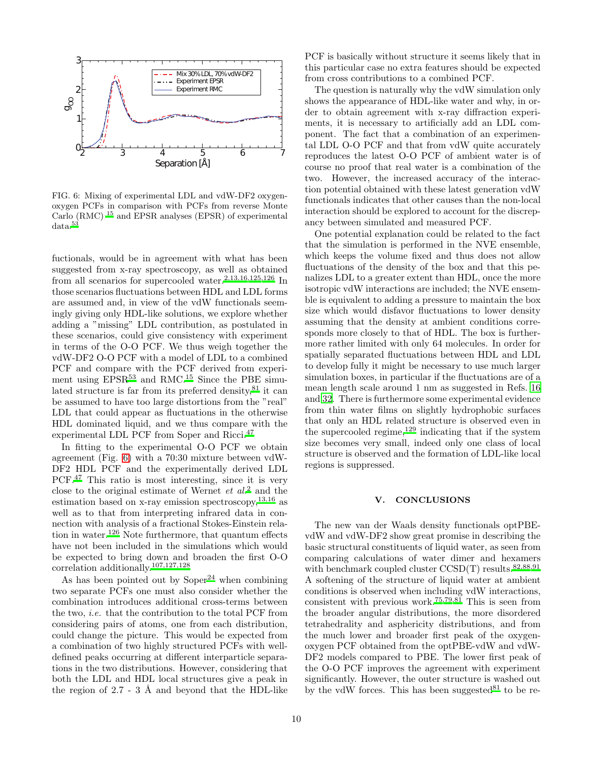

<span id="page-9-0"></span>FIG. 6: Mixing of experimental LDL and vdW-DF2 oxygenoxygen PCFs in comparison with PCFs from reverse Monte Carlo (RMC) <sup>15</sup> and EPSR analyses (EPSR) of experimental data[.](#page-12-8)<sup>53</sup>

fuctionals, would be in agreement with what has been suggested from x-ray spectroscopy, as well as obtained from all scenarios for supercooled water[.](#page-10-2)<sup>2[,13](#page-11-5)[,16](#page-11-4)[,125](#page-13-23)[,126](#page-13-24)</sup> In those scenarios fluctuations between HDL and LDL forms are assumed and, in view of the vdW functionals seemingly giving only HDL-like solutions, we explore whether adding a "missing" LDL contribution, as postulated in these scenarios, could give consistency with experiment in terms of the O-O PCF. We thus weigh together the vdW-DF2 O-O PCF with a model of LDL to a combined PCF and compare with the PCF derived from experiment using  $EPSR^{53}$  $EPSR^{53}$  $EPSR^{53}$  and RMC.<sup>[15](#page-11-2)</sup> Since the PBE simulated structure is far from its preferred density,  $81$  it can be assumed to have too large distortions from the "real" LDL that could appear as fluctuations in the otherwise HDL dominated liquid, and we thus compare with the experimental LDL PCF from Soper and Ricci.[47](#page-12-2)

In fitting to the experimental O-O PCF we obtain agreement (Fig. [6\)](#page-9-0) with a 70:30 mixture between vdW-DF2 HDL PCF and the experimentally derived LDL PCF.[47](#page-12-2) This ratio is most interesting, since it is very close to the original estimate of Wernet  $et al.<sup>2</sup>$  $et al.<sup>2</sup>$  $et al.<sup>2</sup>$  and the estimation based on x-ray emission spectroscopy,  $13,16$  $13,16$  as well as to that from interpreting infrared data in connection with analysis of a fractional Stokes-Einstein rela-tion in water.<sup>[126](#page-13-24)</sup> Note furthermore, that quantum effects have not been included in the simulations which would be expected to bring down and broaden the first O-O correlation additionally.[107](#page-13-9)[,127](#page-13-25)[,128](#page-13-26)

As has been pointed out by  $Soper<sup>24</sup>$  $Soper<sup>24</sup>$  $Soper<sup>24</sup>$  when combining two separate PCFs one must also consider whether the combination introduces additional cross-terms between the two, i.e. that the contribution to the total PCF from considering pairs of atoms, one from each distribution, could change the picture. This would be expected from a combination of two highly structured PCFs with welldefined peaks occurring at different interparticle separations in the two distributions. However, considering that both the LDL and HDL local structures give a peak in the region of  $2.7 - 3$  Å and beyond that the HDL-like PCF is basically without structure it seems likely that in this particular case no extra features should be expected from cross contributions to a combined PCF.

The question is naturally why the vdW simulation only shows the appearance of HDL-like water and why, in order to obtain agreement with x-ray diffraction experiments, it is necessary to artificially add an LDL component. The fact that a combination of an experimental LDL O-O PCF and that from vdW quite accurately reproduces the latest O-O PCF of ambient water is of course no proof that real water is a combination of the two. However, the increased accuracy of the interaction potential obtained with these latest generation vdW functionals indicates that other causes than the non-local interaction should be explored to account for the discrepancy between simulated and measured PCF.

One potential explanation could be related to the fact that the simulation is performed in the NVE ensemble, which keeps the volume fixed and thus does not allow fluctuations of the density of the box and that this penalizes LDL to a greater extent than HDL, once the more isotropic vdW interactions are included; the NVE ensemble is equivalent to adding a pressure to maintain the box size which would disfavor fluctuations to lower density assuming that the density at ambient conditions corresponds more closely to that of HDL. The box is furthermore rather limited with only 64 molecules. In order for spatially separated fluctuations between HDL and LDL to develop fully it might be necessary to use much larger simulation boxes, in particular if the fluctuations are of a mean length scale around 1 nm as suggested in Refs. [16](#page-11-4) and [32](#page-11-17). There is furthermore some experimental evidence from thin water films on slightly hydrophobic surfaces that only an HDL related structure is observed even in the supercooled regime, $129$  indicating that if the system size becomes very small, indeed only one class of local structure is observed and the formation of LDL-like local regions is suppressed.

## V. CONCLUSIONS

The new van der Waals density functionals optPBEvdW and vdW-DF2 show great promise in describing the basic structural constituents of liquid water, as seen from comparing calculations of water dimer and hexamers with benchmark coupled cluster  $CCSD(T)$  results.<sup>[82](#page-12-34)[,88](#page-12-40)[,91](#page-12-43)</sup> A softening of the structure of liquid water at ambient conditions is observed when including vdW interactions, consistent with previous work.[75](#page-12-29)[,79](#page-12-31)[,81](#page-12-33) This is seen from the broader angular distributions, the more disordered tetrahedrality and asphericity distributions, and from the much lower and broader first peak of the oxygenoxygen PCF obtained from the optPBE-vdW and vdW-DF2 models compared to PBE. The lower first peak of the O-O PCF improves the agreement with experiment significantly. However, the outer structure is washed out by the vdW forces. This has been suggested $81$  to be re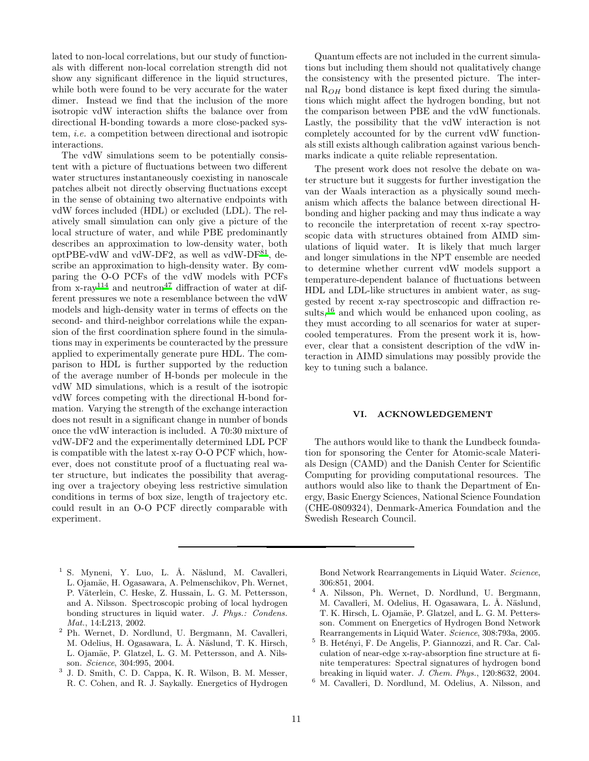lated to non-local correlations, but our study of functionals with different non-local correlation strength did not show any significant difference in the liquid structures, while both were found to be very accurate for the water dimer. Instead we find that the inclusion of the more isotropic vdW interaction shifts the balance over from directional H-bonding towards a more close-packed system, i.e. a competition between directional and isotropic interactions.

The vdW simulations seem to be potentially consistent with a picture of fluctuations between two different water structures instantaneously coexisting in nanoscale patches albeit not directly observing fluctuations except in the sense of obtaining two alternative endpoints with vdW forces included (HDL) or excluded (LDL). The relatively small simulation can only give a picture of the local structure of water, and while PBE predominantly describes an approximation to low-density water, both  $optPBE-vdW$  and vdW-D[F](#page-12-33)2, as well as vdW-DF $^{81}$ , describe an approximation to high-density water. By comparing the O-O PCFs of the vdW models with PCFs from  $x-ray^{114}$  $x-ray^{114}$  $x-ray^{114}$  and neutron<sup>[47](#page-12-2)</sup> diffraction of water at different pressures we note a resemblance between the vdW models and high-density water in terms of effects on the second- and third-neighbor correlations while the expansion of the first coordination sphere found in the simulations may in experiments be counteracted by the pressure applied to experimentally generate pure HDL. The comparison to HDL is further supported by the reduction of the average number of H-bonds per molecule in the vdW MD simulations, which is a result of the isotropic vdW forces competing with the directional H-bond formation. Varying the strength of the exchange interaction does not result in a significant change in number of bonds once the vdW interaction is included. A 70:30 mixture of vdW-DF2 and the experimentally determined LDL PCF is compatible with the latest x-ray O-O PCF which, however, does not constitute proof of a fluctuating real water structure, but indicates the possibility that averaging over a trajectory obeying less restrictive simulation conditions in terms of box size, length of trajectory etc. could result in an O-O PCF directly comparable with experiment.

Quantum effects are not included in the current simulations but including them should not qualitatively change the consistency with the presented picture. The internal  $R_{OH}$  bond distance is kept fixed during the simulations which might affect the hydrogen bonding, but not the comparison between PBE and the vdW functionals. Lastly, the possibility that the vdW interaction is not completely accounted for by the current vdW functionals still exists although calibration against various benchmarks indicate a quite reliable representation.

The present work does not resolve the debate on water structure but it suggests for further investigation the van der Waals interaction as a physically sound mechanism which affects the balance between directional Hbonding and higher packing and may thus indicate a way to reconcile the interpretation of recent x-ray spectroscopic data with structures obtained from AIMD simulations of liquid water. It is likely that much larger and longer simulations in the NPT ensemble are needed to determine whether current vdW models support a temperature-dependent balance of fluctuations between HDL and LDL-like structures in ambient water, as suggested by recent x-ray spectroscopic and diffraction results, $16$  and which would be enhanced upon cooling, as they must according to all scenarios for water at supercooled temperatures. From the present work it is, however, clear that a consistent description of the vdW interaction in AIMD simulations may possibly provide the key to tuning such a balance.

### VI. ACKNOWLEDGEMENT

The authors would like to thank the Lundbeck foundation for sponsoring the Center for Atomic-scale Materials Design (CAMD) and the Danish Center for Scientific Computing for providing computational resources. The authors would also like to thank the Department of Energy, Basic Energy Sciences, National Science Foundation (CHE-0809324), Denmark-America Foundation and the Swedish Research Council.

- <span id="page-10-0"></span><sup>1</sup> S. Myneni, Y. Luo, L. Å. Näslund, M. Cavalleri, L. Ojamäe, H. Ogasawara, A. Pelmenschikov, Ph. Wernet, P. Väterlein, C. Heske, Z. Hussain, L. G. M. Pettersson, and A. Nilsson. Spectroscopic probing of local hydrogen bonding structures in liquid water. *J. Phys.: Condens. Mat.*, 14:L213, 2002.
- <span id="page-10-2"></span><sup>2</sup> Ph. Wernet, D. Nordlund, U. Bergmann, M. Cavalleri, M. Odelius, H. Ogasawara, L. Å. Näslund, T. K. Hirsch, L. Ojamäe, P. Glatzel, L. G. M. Pettersson, and A. Nilsson. *Science*, 304:995, 2004.
- <span id="page-10-1"></span>3 J. D. Smith, C. D. Cappa, K. R. Wilson, B. M. Messer, R. C. Cohen, and R. J. Saykally. Energetics of Hydrogen

Bond Network Rearrangements in Liquid Water. *Science*, 306:851, 2004.

- <sup>4</sup> A. Nilsson, Ph. Wernet, D. Nordlund, U. Bergmann, M. Cavalleri, M. Odelius, H. Ogasawara, L. Å. Näslund, T. K. Hirsch, L. Ojamäe, P. Glatzel, and L. G. M. Pettersson. Comment on Energetics of Hydrogen Bond Network Rearrangements in Liquid Water. *Science*, 308:793a, 2005.
- $5\,$  B. Hetényi, F. De Angelis, P. Giannozzi, and R. Car. Calculation of near-edge x-ray-absorption fine structure at finite temperatures: Spectral signatures of hydrogen bond breaking in liquid water. *J. Chem. Phys.*, 120:8632, 2004.
- <sup>6</sup> M. Cavalleri, D. Nordlund, M. Odelius, A. Nilsson, and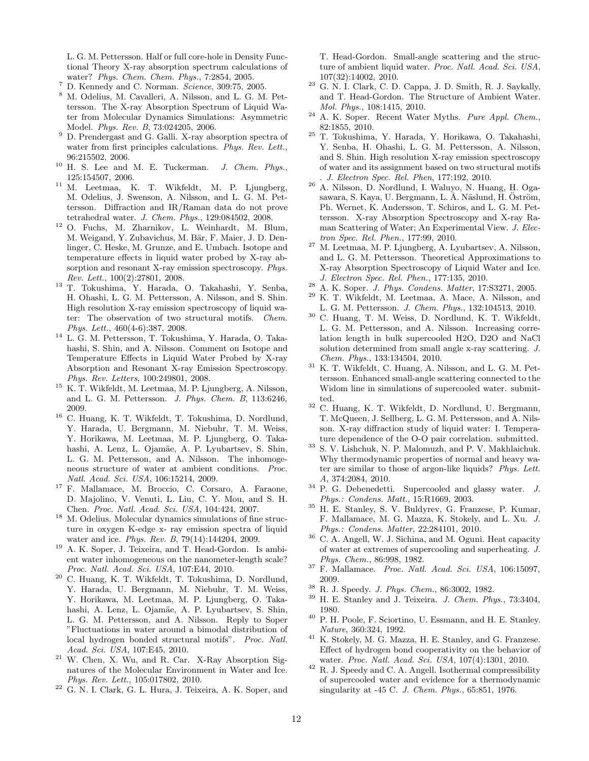L. G. M. Pettersson. Half or full core-hole in Density Functional Theory X-ray absorption spectrum calculations of water? *Phys. Chem. Chem. Phys.*, 7:2854, 2005.

- <sup>7</sup> D. Kennedy and C. Norman. *Science*, 309:75, 2005.
- <sup>8</sup> M. Odelius, M. Cavalleri, A. Nilsson, and L. G. M. Pettersson. The X-ray Absorption Spectrum of Liquid Water from Molecular Dynamics Simulations: Asymmetric Model. *Phys. Rev. B*, 73:024205, 2006.
- <span id="page-11-9"></span> $9$  D. Prendergast and G. Galli. X-ray absorption spectra of water from first principles calculations. *Phys. Rev. Lett.*, 96:215502, 2006.
- <span id="page-11-28"></span><sup>10</sup> H. S. Lee and M. E. Tuckerman. *J. Chem. Phys.*, 125:154507, 2006.
- <span id="page-11-1"></span><sup>11</sup> M. Leetmaa, K. T. Wikfeldt, M. P. Ljungberg, M. Odelius, J. Swenson, A. Nilsson, and L. G. M. Pettersson. Diffraction and IR/Raman data do not prove tetrahedral water. *J. Chem. Phys.*, 129:084502, 2008.
- <span id="page-11-10"></span><sup>12</sup> O. Fuchs, M. Zharnikov, L. Weinhardt, M. Blum, M. Weigand, Y. Zubavichus, M. Bär, F. Maier, J. D. Denlinger, C. Heske, M. Grunze, and E. Umbach. Isotope and temperature effects in liquid water probed by X-ray absorption and resonant X-ray emission spectroscopy. *Phys. Rev. Lett.*, 100(2):27801, 2008.
- <span id="page-11-5"></span><sup>13</sup> T. Tokushima, Y. Harada, O. Takahashi, Y. Senba, H. Ohashi, L. G. M. Pettersson, A. Nilsson, and S. Shin. High resolution X-ray emission spectroscopy of liquid water: The observation of two structural motifs. *Chem. Phys. Lett.*, 460(4-6):387, 2008.
- <sup>14</sup> L. G. M. Pettersson, T. Tokushima, Y. Harada, O. Takahashi, S. Shin, and A. Nilsson. Comment on Isotope and Temperature Effects in Liquid Water Probed by X-ray Absorption and Resonant X-ray Emission Spectroscopy. *Phys. Rev. Letters*, 100:249801, 2008.
- <span id="page-11-2"></span><sup>15</sup> K. T. Wikfeldt, M. Leetmaa, M. P. Ljungberg, A. Nilsson, and L. G. M. Pettersson. *J. Phys. Chem. B*, 113:6246, 2009.
- <span id="page-11-4"></span><sup>16</sup> C. Huang, K. T. Wikfeldt, T. Tokushima, D. Nordlund, Y. Harada, U. Bergmann, M. Niebuhr, T. M. Weiss, Y. Horikawa, M. Leetmaa, M. P. Ljungberg, O. Takahashi, A. Lenz, L. Ojamäe, A. P. Lyubartsev, S. Shin, L. G. M. Pettersson, and A. Nilsson. The inhomogeneous structure of water at ambient conditions. *Proc. Natl. Acad. Sci. USA*, 106:15214, 2009.
- <span id="page-11-26"></span><sup>17</sup> F. Mallamace, M. Broccio, C. Corsaro, A. Faraone, D. Majolino, V. Venuti, L. Liu, C. Y. Mou, and S. H. Chen. *Proc. Natl. Acad. Sci. USA*, 104:424, 2007.
- <span id="page-11-11"></span> $^{18}\,$  M. Odelius. Molecular dynamics simulations of fine structure in oxygen K-edge x- ray emission spectra of liquid water and ice. *Phys. Rev. B*, 79(14):144204, 2009.
- <span id="page-11-12"></span><sup>19</sup> A. K. Soper, J. Teixeira, and T. Head-Gordon. Is ambient water inhomogeneous on the nanometer-length scale? *Proc. Natl. Acad. Sci. USA*, 107:E44, 2010.
- <span id="page-11-6"></span><sup>20</sup> C. Huang, K. T. Wikfeldt, T. Tokushima, D. Nordlund, Y. Harada, U. Bergmann, M. Niebuhr, T. M. Weiss, Y. Horikawa, M. Leetmaa, M. P. Ljungberg, O. Takahashi, A. Lenz, L. Ojamäe, A. P. Lyubartsev, S. Shin, L. G. M. Pettersson, and A. Nilsson. Reply to Soper "Fluctuations in water around a bimodal distribution of local hydrogen bonded structural motifs". *Proc. Natl. Acad. Sci. USA*, 107:E45, 2010.
- <span id="page-11-13"></span><sup>21</sup> W. Chen, X. Wu, and R. Car. X-Ray Absorption Signatures of the Molecular Environment in Water and Ice. *Phys. Rev. Lett.*, 105:017802, 2010.
- <sup>22</sup> G. N. I. Clark, G. L. Hura, J. Teixeira, A. K. Soper, and

T. Head-Gordon. Small-angle scattering and the structure of ambient liquid water. *Proc. Natl. Acad. Sci. USA*, 107(32):14002, 2010.

- $23$  G. N. I. Clark, C. D. Cappa, J. D. Smith, R. J. Saykally, and T. Head-Gordon. The Structure of Ambient Water. *Mol. Phys.*, 108:1415, 2010.
- <span id="page-11-14"></span><sup>24</sup> A. K. Soper. Recent Water Myths. *Pure Appl. Chem.*, 82:1855, 2010.
- <span id="page-11-7"></span><sup>25</sup> T. Tokushima, Y. Harada, Y. Horikawa, O. Takahashi, Y. Senba, H. Ohashi, L. G. M. Pettersson, A. Nilsson, and S. Shin. High resolution X-ray emission spectroscopy of water and its assignment based on two structural motifs . *J. Electron Spec. Rel. Phen*, 177:192, 2010.
- <sup>26</sup> A. Nilsson, D. Nordlund, I. Waluyo, N. Huang, H. Ogasawara, S. Kaya, U. Bergmann, L. Å. Näslund, H. Öström, Ph. Wernet, K. Andersson, T. Schiros, and L. G. M. Pettersson. X-ray Absorption Spectroscopy and X-ray Raman Scattering of Water; An Experimental View. *J. Electron Spec. Rel. Phen.*, 177:99, 2010.
- <span id="page-11-0"></span><sup>27</sup> M. Leetmaa, M. P. Ljungberg, A. Lyubartsev, A. Nilsson, and L. G. M. Pettersson. Theoretical Approximations to X-ray Absorption Spectroscopy of Liquid Water and Ice. *J. Electron Spec. Rel. Phen.*, 177:135, 2010.
- <span id="page-11-3"></span><sup>28</sup> A. K. Soper. *J. Phys. Condens. Matter*, 17:S3271, 2005.
- <span id="page-11-8"></span><sup>29</sup> K. T. Wikfeldt, M. Leetmaa, A. Mace, A. Nilsson, and L. G. M. Pettersson. *J. Chem. Phys.*, 132:104513, 2010.
- <span id="page-11-15"></span><sup>30</sup> C. Huang, T. M. Weiss, D. Nordlund, K. T. Wikfeldt, L. G. M. Pettersson, and A. Nilsson. Increasing correlation length in bulk supercooled H2O, D2O and NaCl solution determined from small angle x-ray scattering. *J. Chem. Phys.*, 133:134504, 2010.
- <span id="page-11-16"></span><sup>31</sup> K. T. Wikfeldt, C. Huang, A. Nilsson, and L. G. M. Pettersson. Enhanced small-angle scattering connected to the Widom line in simulations of supercooled water. submitted.
- <span id="page-11-17"></span><sup>32</sup> C. Huang, K. T. Wikfeldt, D. Nordlund, U. Bergmann, T. McQueen, J. Sellberg, L. G. M. Pettersson, and A. Nilsson. X-ray diffraction study of liquid water: I. Temperature dependence of the O-O pair correlation. submitted.
- <span id="page-11-18"></span><sup>33</sup> S. V. Lishchuk, N. P. Malomuzh, and P. V. Makhlaichuk. Why thermodynamic properties of normal and heavy water are similar to those of argon-like liquids? *Phys. Lett. A*, 374:2084, 2010.
- <span id="page-11-19"></span><sup>34</sup> P. G. Debenedetti. Supercooled and glassy water. *J. Phys.: Condens. Matt.*, 15:R1669, 2003.
- <sup>35</sup> H. E. Stanley, S. V. Buldyrev, G. Franzese, P. Kumar, F. Mallamace, M. G. Mazza, K. Stokely, and L. Xu. *J. Phys.: Condens. Matter*, 22:284101, 2010.
- <span id="page-11-20"></span><sup>36</sup> C. A. Angell, W. J. Sichina, and M. Oguni. Heat capacity of water at extremes of supercooling and superheating. *J. Phys. Chem.*, 86:998, 1982.
- <span id="page-11-21"></span><sup>37</sup> F. Mallamace. *Proc. Natl. Acad. Sci. USA*, 106:15097, 2009.
- <span id="page-11-22"></span><sup>38</sup> R. J. Speedy. *J. Phys. Chem.*, 86:3002, 1982.
- <span id="page-11-27"></span><sup>39</sup> H. E. Stanley and J. Teixeira. *J. Chem. Phys.*, 73:3404, 1980.
- <span id="page-11-23"></span><sup>40</sup> P. H. Poole, F. Sciortino, U. Essmann, and H. E. Stanley. *Nature*, 360:324, 1992.
- <span id="page-11-24"></span><sup>41</sup> K. Stokely, M. G. Mazza, H. E. Stanley, and G. Franzese. Effect of hydrogen bond cooperativity on the behavior of water. *Proc. Natl. Acad. Sci. USA*, 107(4):1301, 2010.
- <span id="page-11-25"></span><sup>42</sup> R. J. Speedy and C. A. Angell. Isothermal compressibility of supercooled water and evidence for a thermodynamic singularity at -45 C. *J. Chem. Phys.*, 65:851, 1976.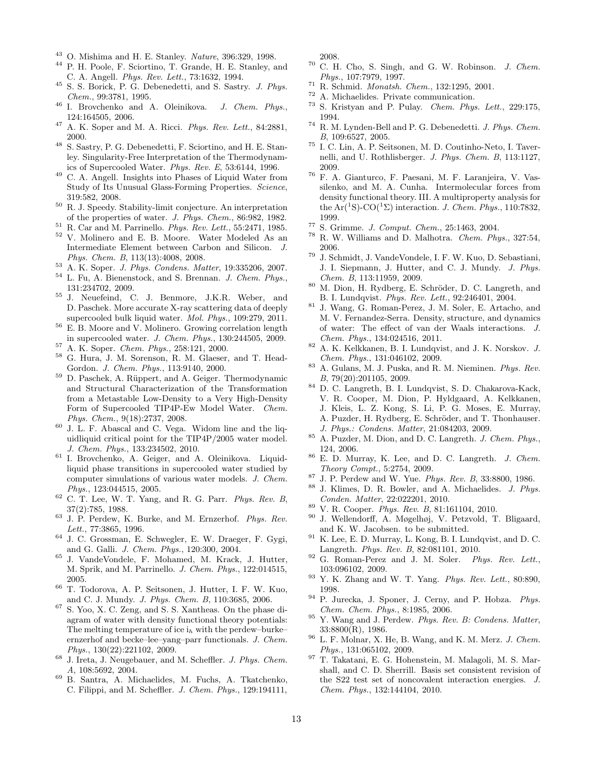- <span id="page-12-0"></span><sup>43</sup> O. Mishima and H. E. Stanley. *Nature*, 396:329, 1998.
- <sup>44</sup> P. H. Poole, F. Sciortino, T. Grande, H. E. Stanley, and C. A. Angell. *Phys. Rev. Lett.*, 73:1632, 1994.
- <sup>45</sup> S. S. Borick, P. G. Debenedetti, and S. Sastry. *J. Phys. Chem.*, 99:3781, 1995.
- <span id="page-12-1"></span><sup>46</sup> I. Brovchenko and A. Oleinikova. *J. Chem. Phys.*, 124:164505, 2006.
- <span id="page-12-2"></span><sup>47</sup> A. K. Soper and M. A. Ricci. *Phys. Rev. Lett.*, 84:2881, 2000.
- <span id="page-12-3"></span> $^{48}\,$  S. Sastry, P. G. Debenedetti, F. Sciortino, and H. E. Stanley. Singularity-Free Interpretation of the Thermodynamics of Supercooled Water. *Phys. Rev. E*, 53:6144, 1996.
- <span id="page-12-4"></span><sup>49</sup> C. A. Angell. Insights into Phases of Liquid Water from Study of Its Unusual Glass-Forming Properties. *Science*, 319:582, 2008.
- <span id="page-12-5"></span> $^{50}\,$  R. J. Speedy. Stability-limit conjecture. An interpretation of the properties of water. *J. Phys. Chem.*, 86:982, 1982.
- <span id="page-12-6"></span><sup>51</sup> R. Car and M. Parrinello. *Phys. Rev. Lett.*, 55:2471, 1985.
- <span id="page-12-7"></span><sup>52</sup> V. Molinero and E. B. Moore. Water Modeled As an Intermediate Element between Carbon and Silicon. *J. Phys. Chem. B*, 113(13):4008, 2008.
- <span id="page-12-8"></span><sup>53</sup> A. K. Soper. *J. Phys. Condens. Matter*, 19:335206, 2007.
- <span id="page-12-50"></span><sup>54</sup> L. Fu, A. Bienenstock, and S. Brennan. *J. Chem. Phys.*, 131:234702, 2009.
- <span id="page-12-9"></span><sup>55</sup> J. Neuefeind, C. J. Benmore, J.K.R. Weber, and D. Paschek. More accurate X-ray scattering data of deeply supercooled bulk liquid water. *Mol. Phys.*, 109:279, 2011.
- <span id="page-12-10"></span><sup>56</sup> E. B. Moore and V. Molinero. Growing correlation length in supercooled water. *J. Chem. Phys.*, 130:244505, 2009.
- <span id="page-12-11"></span><sup>57</sup> A. K. Soper. *Chem. Phys.*, 258:121, 2000.
- <span id="page-12-12"></span><sup>58</sup> G. Hura, J. M. Sorenson, R. M. Glaeser, and T. Head-Gordon. *J. Chem. Phys.*, 113:9140, 2000.
- <span id="page-12-13"></span><sup>59</sup> D. Paschek, A. Rüppert, and A. Geiger. Thermodynamic and Structural Characterization of the Transformation from a Metastable Low-Density to a Very High-Density Form of Supercooled TIP4P-Ew Model Water. *Chem. Phys. Chem.*, 9(18):2737, 2008.
- <span id="page-12-14"></span><sup>60</sup> J. L. F. Abascal and C. Vega. Widom line and the liquidliquid critical point for the TIP4P/2005 water model. *J. Chem. Phys.*, 133:234502, 2010.
- <span id="page-12-15"></span><sup>61</sup> I. Brovchenko, A. Geiger, and A. Oleinikova. Liquidliquid phase transitions in supercooled water studied by computer simulations of various water models. *J. Chem. Phys.*, 123:044515, 2005.
- <span id="page-12-16"></span><sup>62</sup> C. T. Lee, W. T. Yang, and R. G. Parr. *Phys. Rev. B*, 37(2):785, 1988.
- <span id="page-12-17"></span><sup>63</sup> J. P. Perdew, K. Burke, and M. Ernzerhof. *Phys. Rev. Lett.*, 77:3865, 1996.
- <span id="page-12-18"></span><sup>64</sup> J. C. Grossman, E. Schwegler, E. W. Draeger, F. Gygi, and G. Galli. *J. Chem. Phys.*, 120:300, 2004.
- <span id="page-12-19"></span><sup>65</sup> J. VandeVondele, F. Mohamed, M. Krack, J. Hutter, M. Sprik, and M. Parrinello. *J. Chem. Phys.*, 122:014515, 2005.
- <span id="page-12-20"></span><sup>66</sup> T. Todorova, A. P. Seitsonen, J. Hutter, I. F. W. Kuo, and C. J. Mundy. *J. Phys. Chem. B*, 110:3685, 2006.
- <span id="page-12-21"></span><sup>67</sup> S. Yoo, X. C. Zeng, and S. S. Xantheas. On the phase diagram of water with density functional theory potentials: The melting temperature of ice  $i_h$  with the perdew-burkeernzerhof and becke–lee–yang–parr functionals. *J. Chem. Phys.*, 130(22):221102, 2009.
- <span id="page-12-22"></span><sup>68</sup> J. Ireta, J. Neugebauer, and M. Scheffler. *J. Phys. Chem. A*, 108:5692, 2004.
- <span id="page-12-23"></span><sup>69</sup> B. Santra, A. Michaelides, M. Fuchs, A. Tkatchenko, C. Filippi, and M. Scheffler. *J. Chem. Phys.*, 129:194111,

2008.

- <span id="page-12-24"></span><sup>70</sup> C. H. Cho, S. Singh, and G. W. Robinson. *J. Chem. Phys.*, 107:7979, 1997.
- <span id="page-12-25"></span><sup>71</sup> R. Schmid. *Monatsh. Chem.*, 132:1295, 2001.
- <span id="page-12-26"></span> $^{72}$  A. Michaelides. Private communication.<br> $^{73}$  S. Kristyce and B. Prices. ChamelBourne
- <span id="page-12-27"></span><sup>73</sup> S. Kristyan and P. Pulay. *Chem. Phys. Lett.*, 229:175, 1994.
- <span id="page-12-28"></span><sup>74</sup> R. M. Lynden-Bell and P. G. Debenedetti. *J. Phys. Chem. B*, 109:6527, 2005.
- <span id="page-12-29"></span><sup>75</sup> I. C. Lin, A. P. Seitsonen, M. D. Coutinho-Neto, I. Tavernelli, and U. Rothlisberger. *J. Phys. Chem. B*, 113:1127, 2009.
- <span id="page-12-30"></span><sup>76</sup> F. A. Gianturco, F. Paesani, M. F. Laranjeira, V. Vassilenko, and M. A. Cunha. Intermolecular forces from density functional theory. III. A multiproperty analysis for the  $Ar(^{1}S)$ -CO $(^{1}\Sigma)$  interaction. *J. Chem. Phys.*, 110:7832, 1999.
- <sup>77</sup> S. Grimme. *J. Comput. Chem.*, 25:1463, 2004.
- <sup>78</sup> R. W. Williams and D. Malhotra. *Chem. Phys.*, 327:54, 2006.
- <span id="page-12-31"></span><sup>79</sup> J. Schmidt, J. VandeVondele, I. F. W. Kuo, D. Sebastiani, J. I. Siepmann, J. Hutter, and C. J. Mundy. *J. Phys. Chem. B*, 113:11959, 2009.
- <span id="page-12-32"></span> $80$  M. Dion, H. Rydberg, E. Schröder, D. C. Langreth, and B. I. Lundqvist. *Phys. Rev. Lett.*, 92:246401, 2004.
- <span id="page-12-33"></span><sup>81</sup> J. Wang, G. Roman-Perez, J. M. Soler, E. Artacho, and M. V. Fernandez-Serra. Density, structure, and dynamics of water: The effect of van der Waals interactions. *J. Chem. Phys.*, 134:024516, 2011.
- <span id="page-12-34"></span><sup>82</sup> A. K. Kelkkanen, B. I. Lundqvist, and J. K. Norskov. *J. Chem. Phys.*, 131:046102, 2009.
- <span id="page-12-37"></span><sup>83</sup> A. Gulans, M. J. Puska, and R. M. Nieminen. *Phys. Rev. B*, 79(20):201105, 2009.
- <span id="page-12-35"></span><sup>84</sup> D. C. Langreth, B. I. Lundqvist, S. D. Chakarova-Kack, V. R. Cooper, M. Dion, P. Hyldgaard, A. Kelkkanen, J. Kleis, L. Z. Kong, S. Li, P. G. Moses, E. Murray, A. Puzder, H. Rydberg, E. Schröder, and T. Thonhauser. *J. Phys.: Condens. Matter*, 21:084203, 2009.
- <span id="page-12-36"></span><sup>85</sup> A. Puzder, M. Dion, and D. C. Langreth. *J. Chem. Phys.*, 124, 2006.
- <span id="page-12-38"></span><sup>86</sup> E. D. Murray, K. Lee, and D. C. Langreth. *J. Chem. Theory Compt.*, 5:2754, 2009.
- <span id="page-12-39"></span><sup>87</sup> J. P. Perdew and W. Yue. *Phys. Rev. B*, 33:8800, 1986.
- <span id="page-12-40"></span><sup>88</sup> J. Klimes, D. R. Bowler, and A. Michaelides. *J. Phys. Conden. Matter*, 22:022201, 2010.
- <span id="page-12-41"></span><sup>89</sup> V. R. Cooper. *Phys. Rev. B*, 81:161104, 2010.
- <span id="page-12-42"></span>J. Wellendorff, A. Møgelhøj, V. Petzvold, T. Bligaard, and K. W. Jacobsen. to be submitted.
- <span id="page-12-43"></span><sup>91</sup> K. Lee, E. D. Murray, L. Kong, B. I. Lundqvist, and D. C. Langreth. *Phys. Rev. B*, 82:081101, 2010.
- <span id="page-12-44"></span><sup>92</sup> G. Roman-Perez and J. M. Soler. *Phys. Rev. Lett.*, 103:096102, 2009.
- <span id="page-12-45"></span><sup>93</sup> Y. K. Zhang and W. T. Yang. *Phys. Rev. Lett.*, 80:890, 1998.
- <span id="page-12-46"></span><sup>94</sup> P. Jurecka, J. Sponer, J. Cerny, and P. Hobza. *Phys. Chem. Chem. Phys.*, 8:1985, 2006.
- <span id="page-12-47"></span><sup>95</sup> Y. Wang and J. Perdew. *Phys. Rev. B: Condens. Matter*, 33:8800(R), 1986.
- <span id="page-12-48"></span><sup>96</sup> L. F. Molnar, X. He, B. Wang, and K. M. Merz. *J. Chem. Phys.*, 131:065102, 2009.
- <span id="page-12-49"></span><sup>97</sup> T. Takatani, E. G. Hohenstein, M. Malagoli, M. S. Marshall, and C. D. Sherrill. Basis set consistent revision of the S22 test set of noncovalent interaction energies. *J. Chem. Phys.*, 132:144104, 2010.